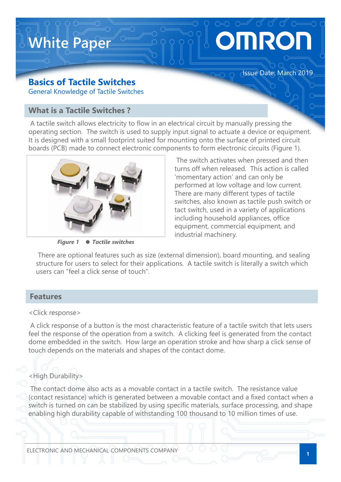

## Basics of Tactile Switches

A tactile switch allows electricity to flow in an electrical circuit by manually pressing the operating section. The switch is used to supply input signal to actuate a device or equipment. It is designed with a small footprint suited for mounting onto the surface of printed circuit boards (PCB) made to connect electronic components to form electronic circuits (Figure 1).



Figure 1 ● Tactile switches

The switch activates when pressed and then turns off when released. This action is called 'momentary action' and can only be performed at low voltage and low current. There are many different types of tactile switches, also known as tactile push switch or tact switch, used in a variety of applications including household appliances, office equipment, commercial equipment, and industrial machinery.

There are optional features such as size (external dimension), board mounting, and sealing structure for users to select for their applications. A tactile switch is literally a switch which users can "feel a click sense of touch".

#### Features

#### <Click response>

A click response of a button is the most characteristic feature of a tactile switch that lets users feel the response of the operation from a switch. A clicking feel is generated from the contact dome embedded in the switch. How large an operation stroke and how sharp a click sense of touch depends on the materials and shapes of the contact dome.

## <High Durability>

The contact dome also acts as a movable contact in a tactile switch. The resistance value (contact resistance) which is generated between a movable contact and a fixed contact when a switch is turned on can be stabilized by using specific materials, surface processing, and shape enabling high durability capable of withstanding 100 thousand to 10 million times of use.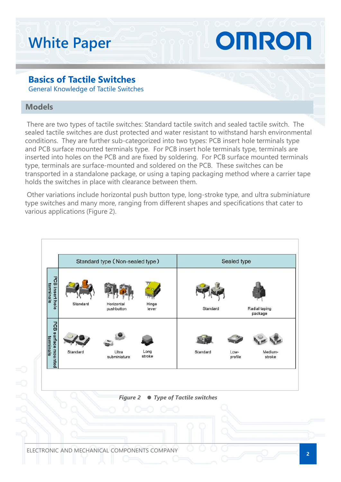# White Paper White Paper<br>Basics of Tactile Switches<br>General Knowledge of Tactile Switches<br>Models White Paper<br>Basics of Tactile Switches<br>General Knowledge of Tactile Switches<br>Models<br>There are two types of tactile switches: Standard tactile switch and sealed tactile switch. The

### **Models**

There are two types of tactile switches: Standard tactile switch and sealed tactile switch. The sealed tactile switches are dust protected and water resistant to withstand harsh environmental conditions. They are further sub-categorized into two types: PCB insert hole terminals type and PCB surface mounted terminals type. For PCB insert hole terminals type, terminals are **Example 18 Solder Scheme Scheme Scheme Scheme Scheme Scheme Scheme Scheme Scheme Scheme Scheme Scheme Scheme Scheme Scheme Scheme Scheme Scheme Scheme Scheme Scheme Scheme Scheme Scheme Scheme Scheme Scheme Scheme Scheme** type, terminals are surface-mounted and soldered on the PCB. These switches can be transported in a standalone package, or using a taping packaging method where a carrier tape holds the switches in place with clearance between them.

Other variations include horizontal push button type, long-stroke type, and ultra subminiature type switches and many more, ranging from different shapes and specifications that cater to various applications (Figure 2).

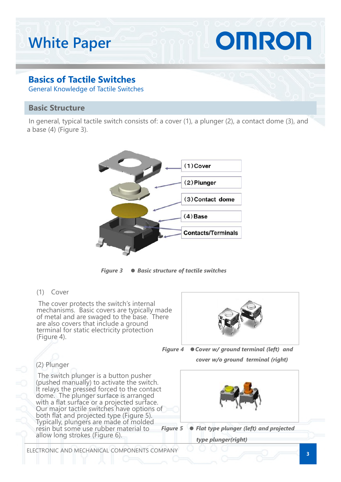# OMRON White Paper

## Basics of Tactile Switches

General Knowledge of Tactile Switches

#### **Basic Structure Structure**

In general, typical tactile switch consists of: a cover (1), a plunger (2), a contact dome (3), and a base (4) (Figure 3).



Figure 3 ● Basic structure of tactile switches

The cover protects the switch's internal mechanisms. Basic covers are typically made of metal and are swaged to the base. There are also covers that include a ground terminal for static electricity protection (Figure 4).



Figure 4 ●Cover w/ ground terminal (left) and cover w/o ground terminal (right)

The switch plunger is a button pusher (pushed manually) to activate the switch. It relays the pressed forced to the contact<br>dome. The plunger surface is arranged<br>with a flat surface or a projected surface.<br>Our major tactile switches have options of<br>both flat and projected type (Figure 5).<br>Typically, p allow long strokes (Figure 6).





ELECTRONIC AND MECHANICAL COMPONENTS COMPANY

3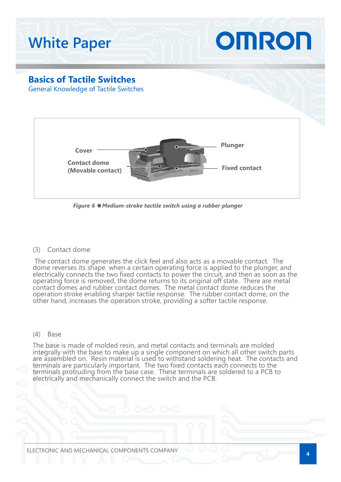

Figure 6 ●Medium-stroke tactile switch using a rubber plunger

The contact dome generates the click feel and also acts as a movable contact. The dome reverses its shape when a certain operating force is applied to the plunger, and electrically connects the two fixed contacts to power operation stroke enabling sharper tactile response. The rubber contact dome, on the other hand, increases the operation stroke, providing a softer tactile response. Figure 6 • Medium-stroke tactile switch using a rubber plune<br>
The contact dome<br>
The contact dome<br>
The contact dome<br>
The contact dome<br>
The contact dome<br>
Secure the strape when a certain operating force is applied<br>
delectric

The base is made of molded resin, and metal contacts and terminals are molded integrally with the base to make up a single component on which all other switch parts are assembled on. Resin material is used to withstand soldering heat. The contacts and<br>terminals are particularly important. The two fixed contacts each connects to the<br>terminals protruding from the base case. These termin